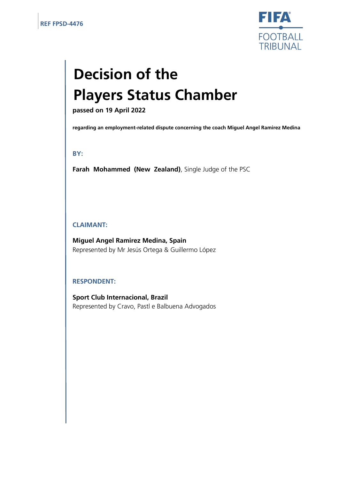

# **Decision of the Players Status Chamber**

**passed on 19 April 2022**

**regarding an employment-related dispute concerning the coach Miguel Angel Ramirez Medina** 

## **BY:**

**Farah Mohammed (New Zealand)**, Single Judge of the PSC

## **CLAIMANT:**

**Miguel Angel Ramirez Medina, Spain** Represented by Mr Jesús Ortega & Guillermo López

## **RESPONDENT:**

**Sport Club Internacional, Brazil** Represented by Cravo, Pastl e Balbuena Advogados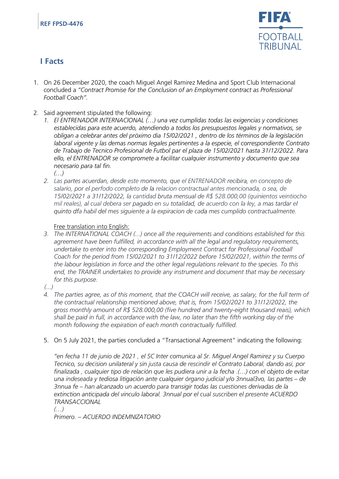

# **I Facts**

- 1. On 26 December 2020, the coach Miguel Angel Ramirez Medina and Sport Club Internacional concluded a *"Contract Promise for the Conclusion of an Employment contract as Professional Football Coach".*
- 2. Said agreement stipulated the following:
	- *1. El ENTRENADOR INTERNACIONAL (…) una vez cumplidas todas las exigencias y condiciones establecidas para este acuerdo, atendiendo a todos los presupuestos legales y normativos, se obligan a celebrar antes del próximo dia 15/02/2021 , dentro de los términos de la legislación laboral vigente y las demas normas legales pertinentes a la especie, el correspondiente Contrato de Trabajo de Tecnico Profesional de Futbol par el plaza de 15/02/2021 hasta 31/12/2022. Para ello, el ENTRENADOR se compromete a facilitar cualquier instrumento y documento que sea necesario para tal fin.*

*(…)* 

*2. Las partes acuerdan, desde este momento, que el ENTRENADOR recibira, en concepto de salario, por el perfodo completo de la relacion contractual antes mencionada, o sea, de 15/02/2021 a 31/12/2022, la cantidad bruta mensual de R\$ 528.000,00 (quinientos veintiocho mil reales), al cual debera ser pagado en su totalidad, de acuerdo con la ley, a mas tardar el quinto dfa habil del mes siguiente a la expiracion de cada mes cumplido contractualmente.*

## Free translation into English:

- *3. The INTERNATIONAL COACH (...) once all the requirements and conditions established for this agreement have been fulfilled, in accordance with all the legal and regulatory requirements, undertake to enter into the corresponding Employment Contract for Professional Football Coach for the period from 15/02/2021 to 31/12/2022 before 15/02/2021, within the terms of the labour legislation in force and the other legal regulations relevant to the species. To this end, the TRAINER undertakes to provide any instrument and document that may be necessary for this purpose.*
- *(...)*
- *4. The parties agree, as of this moment, that the COACH will receive, as salary, for the full term of the contractual relationship mentioned above, that is, from 15/02/2021 to 31/12/2022, the gross monthly amount of R\$ 528.000,00 (five hundred and twenty-eight thousand reais), which shall be paid in full, in accordance with the law, no later than the fifth working day of the month following the expiration of each month contractually fulfilled.*
- 5. On 5 July 2021, the parties concluded a "Transactional Agreement" indicating the following:

*"en fecha 11 de junio de 2021 , el SC Inter comunica al Sr. Miguel Angel Ramirez y su Cuerpo Tecnico, su decision unilateral y sin justa causa de rescindir el Contrato Laboral, dando asi, por finalizada , cualquier tipo de relación que les pudiera unir a la fecha .(…) con el objeto de evitar una indeseada y tediosa litigación ante cualquier órgano judicial y/o 3nnual3vo, las partes – de 3nnua fe – han alcanzado un acuerdo para transigir todas las cuestiones derivadas de la extinction anticipada del vinculo laboral, 3nnual por el cual suscriben el presente ACUERDO TRANSACCIONAL*

*(…)* 

*Primero. – ACUERDO INDEMNIZATORIO*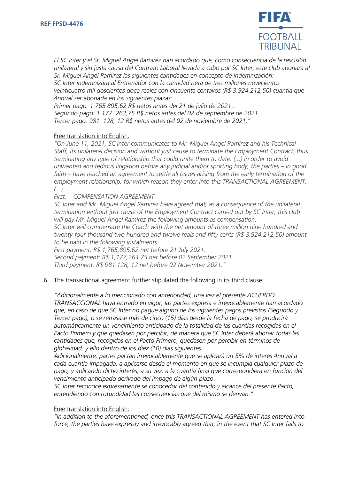

*El SC Inter y el Sr. Miguel Angel Ramirez han acordado que, como consecuencia de la rescisi6n unilateral y sin justa causa del Contrato Laboral llevada a cabo por SC Inter, este club abonara al Sr. Miguel Angel Ramirez las siguientes cantidades en concepto de indemnización: SC Inter indemnizara al Entrenador con la cantidad neta de tres millones novecientos* 

*veinticuatro mil doscientos doce reales con cincuenta centavos (R\$ 3.924.212,50) cuantia que 4nnual ser abonada en los siguientes plazas:* 

*Primer pago: 1.765.895,62 R\$ netos antes del 21 de julio de 2021 .* 

*Segundo pago: 1.177 .263,75 R\$ netos antes del 02 de septiembre de 2021 . Tercer pago: 981 .128, 12 R\$ netos antes del 02 de noviembre de 2021."* 

## Free translation into English:

*"On June 11, 2021, SC Inter communicates to Mr. Miguel Angel Ramirez and his Technical Staff, its unilateral decision and without just cause to terminate the Employment Contract, thus terminating any type of relationship that could unite them to date. (...) in order to avoid unwanted and tedious litigation before any judicial and/or sporting body, the parties – in good*  faith – have reached an agreement to settle all issues arising from the early termination of the *employment relationship, for which reason they enter into this TRANSACTIONAL AGREEMENT. (...)*

*First. – COMPENSATION AGREEMENT* 

*SC Inter and Mr. Miguel Angel Ramirez have agreed that, as a consequence of the unilateral termination without just cause of the Employment Contract carried out by SC Inter, this club will pay Mr. Miguel Angel Ramirez the following amounts as compensation:*

*SC Inter will compensate the Coach with the net amount of three million nine hundred and twenty-four thousand two hundred and twelve reais and fifty cents (R\$ 3.924.212,50) amount to be paid in the following instalments:*

*First payment: R\$ 1,765,895.62 net before 21 July 2021.*

*Second payment: R\$ 1,177,263.75 net before 02 September 2021. Third payment: R\$ 981.128, 12 net before 02 November 2021."*

6. The transactional agreement further stipulated the following in its third clause:

*"Adicionalmente a lo mencionado con anterioridad, una vez el presente ACUERDO TRANSACCIONAL haya entrado en vigor, las partes expresa e irrevocablemente han acordado que, en caso de que SC Inter no pague alguno de los siguientes pagos previstos (Segundo y Tercer pago), o se retrasase más de cinco (15) días desde la fecha de pago, se producirá automáticamente un vencimiento anticipado de la totalidad de las cuantías recogidas en el Pacto Primero y que quedasen por percibir, de manera que SC Inter deberá abonar todas las cantidades que, recogidas en el Pacto Primero, quedasen por percibir en términos de globalidad, y ello dentro de los diez (10) días siguientes.*

*Adicionalmente, partes pactan irrevocablemente que se aplicará un 5% de interés 4nnual a cada cuantía impagada, a aplicarse desde el momento en que se incumpla cualquier plazo de pago, y aplicando dicho interés, a su vez, a la cuantía final que correspondiera en función del vencimiento anticipado derivado del impago de algún plazo.*

*SC Inter reconoce expresamente se conocedor del contenido y alcance del presente Pacto, entendiendo con rotundidad las consecuencias que del mismo se derivan."*

#### Free translation into English:

*"In addition to the aforementioned, once this TRANSACTIONAL AGREEMENT has entered into force, the parties have expressly and irrevocably agreed that, in the event that SC Inter fails to*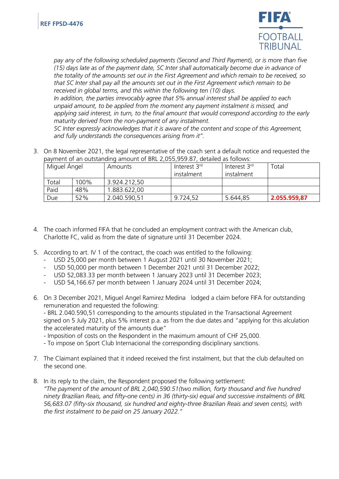

*pay any of the following scheduled payments (Second and Third Payment), or is more than five (15) days late as of the payment date, SC Inter shall automatically become due in advance of the totality of the amounts set out in the First Agreement and which remain to be received, so that SC Inter shall pay all the amounts set out in the First Agreement which remain to be received in global terms, and this within the following ten (10) days.*

*In addition, the parties irrevocably agree that 5% annual interest shall be applied to each unpaid amount, to be applied from the moment any payment instalment is missed, and applying said interest, in turn, to the final amount that would correspond according to the early maturity derived from the non-payment of any instalment.*

*SC Inter expressly acknowledges that it is aware of the content and scope of this Agreement, and fully understands the consequences arising from it".*

3. On 8 November 2021, the legal representative of the coach sent a default notice and requested the payment of an outstanding amount of BRL 2,055,959.87, detailed as follows:

| Miguel Ángel |      | Amounts      | Interest 3rd | Interest 3 <sup>rd</sup> | Total        |
|--------------|------|--------------|--------------|--------------------------|--------------|
|              |      |              | instalment   | instalment               |              |
| Total        | 100% | 3.924.212,50 |              |                          |              |
| Paid         | 48%  | 1.883.622,00 |              |                          |              |
| Due          | 52%  | 2.040.590,51 | 9.724,52     | 5.644,85                 | 2.055.959,87 |

- 4. The coach informed FIFA that he concluded an employment contract with the American club, Charlotte FC, valid as from the date of signature until 31 December 2024.
- 5. According to art. IV 1 of the contract, the coach was entitled to the following:
	- USD 25,000 per month between 1 August 2021 until 30 November 2021;
	- USD 50,000 per month between 1 December 2021 until 31 December 2022;
	- USD 52,083.33 per month between 1 January 2023 until 31 December 2023;
	- USD 54,166.67 per month between 1 January 2024 until 31 December 2024;
- 6. On 3 December 2021, Miguel Angel Ramirez Medina lodged a claim before FIFA for outstanding remuneration and requested the following:

- BRL 2.040.590,51 corresponding to the amounts stipulated in the Transactional Agreement signed on 5 July 2021, plus 5% interest p.a. as from the due dates and "applying for this alculation the accelerated maturity of the amounts due"

- Imposition of costs on the Respondent in the maximum amount of CHF 25,000.

- To impose on Sport Club Internacional the corresponding disciplinary sanctions.

- 7. The Claimant explained that it indeed received the first instalment, but that the club defaulted on the second one.
- 8. In its reply to the claim, the Respondent proposed the following settlement: *"The payment of the amount of BRL 2,040,590.51(two million, forty thousand and five hundred ninety Brazilian Reais, and fifty-one cents) in 36 (thirty-six) equal and successive instalments of BRL 56,683.07 (fifty-six thousand, six hundred and eighty-three Brazilian Reais and seven cents), with the first instalment to be paid on 25 January 2022."*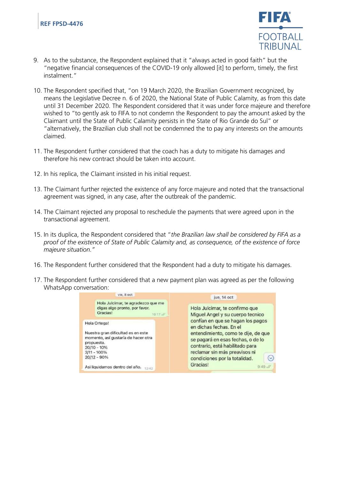

- 9. As to the substance, the Respondent explained that it "always acted in good faith" but the "negative financial consequences of the COVID-19 only allowed [it] to perform, timely, the first instalment."
- 10. The Respondent specified that, "on 19 March 2020, the Brazilian Government recognized, by means the Legislative Decree n. 6 of 2020, the National State of Public Calamity, as from this date until 31 December 2020. The Respondent considered that it was under force majeure and therefore wished to "to gently ask to FIFA to not condemn the Respondent to pay the amount asked by the Claimant until the State of Public Calamity persists in the State of Rio Grande do Sul" or "alternatively, the Brazilian club shall not be condemned the to pay any interests on the amounts claimed.
- 11. The Respondent further considered that the coach has a duty to mitigate his damages and therefore his new contract should be taken into account.
- 12. In his replica, the Claimant insisted in his initial request.
- 13. The Claimant further rejected the existence of any force majeure and noted that the transactional agreement was signed, in any case, after the outbreak of the pandemic.
- 14. The Claimant rejected any proposal to reschedule the payments that were agreed upon in the transactional agreement.
- 15. In its duplica, the Respondent considered that "*the Brazilian law shall be considered by FIFA as a proof of the existence of State of Public Calamity and, as consequence, of the existence of force majeure situation."*
- 16. The Respondent further considered that the Respondent had a duty to mitigate his damages.
- 17. The Respondent further considered that a new payment plan was agreed as per the following WhatsApp conversation:

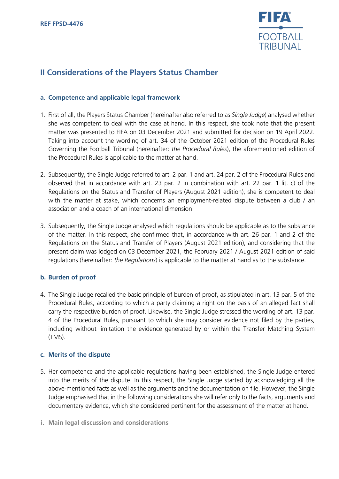

## **II Considerations of the Players Status Chamber**

## **a. Competence and applicable legal framework**

- 1. First of all, the Players Status Chamber (hereinafter also referred to as *Single Judge*) analysed whether she was competent to deal with the case at hand. In this respect, she took note that the present matter was presented to FIFA on 03 December 2021 and submitted for decision on 19 April 2022. Taking into account the wording of art. 34 of the October 2021 edition of the Procedural Rules Governing the Football Tribunal (hereinafter: *the Procedural Rules*), the aforementioned edition of the Procedural Rules is applicable to the matter at hand.
- 2. Subsequently, the Single Judge referred to art. 2 par. 1 and art. 24 par. 2 of the Procedural Rules and observed that in accordance with art. 23 par. 2 in combination with art. 22 par. 1 lit. c) of the Regulations on the Status and Transfer of Players (August 2021 edition), she is competent to deal with the matter at stake, which concerns an employment-related dispute between a club / an association and a coach of an international dimension
- 3. Subsequently, the Single Judge analysed which regulations should be applicable as to the substance of the matter. In this respect, she confirmed that, in accordance with art. 26 par. 1 and 2 of the Regulations on the Status and Transfer of Players (August 2021 edition), and considering that the present claim was lodged on 03 December 2021, the February 2021 / August 2021 edition of said regulations (hereinafter: *the Regulations*) is applicable to the matter at hand as to the substance.

## **b. Burden of proof**

4. The Single Judge recalled the basic principle of burden of proof, as stipulated in art. 13 par. 5 of the Procedural Rules, according to which a party claiming a right on the basis of an alleged fact shall carry the respective burden of proof. Likewise, the Single Judge stressed the wording of art. 13 par. 4 of the Procedural Rules, pursuant to which she may consider evidence not filed by the parties, including without limitation the evidence generated by or within the Transfer Matching System (TMS).

## **c. Merits of the dispute**

- 5. Her competence and the applicable regulations having been established, the Single Judge entered into the merits of the dispute. In this respect, the Single Judge started by acknowledging all the above-mentioned facts as well as the arguments and the documentation on file. However, the Single Judge emphasised that in the following considerations she will refer only to the facts, arguments and documentary evidence, which she considered pertinent for the assessment of the matter at hand.
- **i. Main legal discussion and considerations**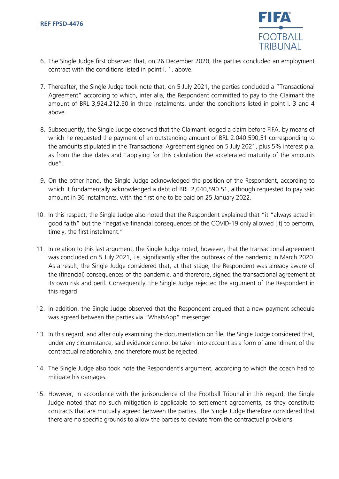

- 6. The Single Judge first observed that, on 26 December 2020, the parties concluded an employment contract with the conditions listed in point I. 1. above.
- 7. Thereafter, the Single Judge took note that, on 5 July 2021, the parties concluded a "Transactional Agreement" according to which, inter alia, the Respondent committed to pay to the Claimant the amount of BRL 3,924,212.50 in three instalments, under the conditions listed in point I. 3 and 4 above.
- 8. Subsequently, the Single Judge observed that the Claimant lodged a claim before FIFA, by means of which he requested the payment of an outstanding amount of BRL 2.040.590,51 corresponding to the amounts stipulated in the Transactional Agreement signed on 5 July 2021, plus 5% interest p.a. as from the due dates and "applying for this calculation the accelerated maturity of the amounts due".
- 9. On the other hand, the Single Judge acknowledged the position of the Respondent, according to which it fundamentally acknowledged a debt of BRL 2,040,590.51, although requested to pay said amount in 36 instalments, with the first one to be paid on 25 January 2022.
- 10. In this respect, the Single Judge also noted that the Respondent explained that "it "always acted in good faith" but the "negative financial consequences of the COVID-19 only allowed [it] to perform, timely, the first instalment."
- 11. In relation to this last argument, the Single Judge noted, however, that the transactional agreement was concluded on 5 July 2021, i.e. significantly after the outbreak of the pandemic in March 2020. As a result, the Single Judge considered that, at that stage, the Respondent was already aware of the (financial) consequences of the pandemic, and therefore, signed the transactional agreement at its own risk and peril. Consequently, the Single Judge rejected the argument of the Respondent in this regard
- 12. In addition, the Single Judge observed that the Respondent argued that a new payment schedule was agreed between the parties via "WhatsApp" messenger.
- 13. In this regard, and after duly examining the documentation on file, the Single Judge considered that, under any circumstance, said evidence cannot be taken into account as a form of amendment of the contractual relationship, and therefore must be rejected.
- 14. The Single Judge also took note the Respondent's argument, according to which the coach had to mitigate his damages.
- 15. However, in accordance with the jurisprudence of the Football Tribunal in this regard, the Single Judge noted that no such mitigation is applicable to settlement agreements, as they constitute contracts that are mutually agreed between the parties. The Single Judge therefore considered that there are no specific grounds to allow the parties to deviate from the contractual provisions.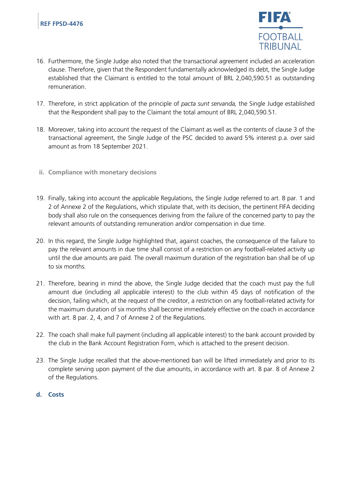

- 16. Furthermore, the Single Judge also noted that the transactional agreement included an acceleration clause. Therefore, given that the Respondent fundamentally acknowledged its debt, the Single Judge established that the Claimant is entitled to the total amount of BRL 2,040,590.51 as outstanding remuneration.
- 17. Therefore, in strict application of the principle of *pacta sunt servanda,* the Single Judge established that the Respondent shall pay to the Claimant the total amount of BRL 2,040,590.51.
- 18. Moreover, taking into account the request of the Claimant as well as the contents of clause 3 of the transactional agreement, the Single Judge of the PSC decided to award 5% interest p.a. over said amount as from 18 September 2021.
- **ii. Compliance with monetary decisions**
- 19. Finally, taking into account the applicable Regulations, the Single Judge referred to art. 8 par. 1 and 2 of Annexe 2 of the Regulations, which stipulate that, with its decision, the pertinent FIFA deciding body shall also rule on the consequences deriving from the failure of the concerned party to pay the relevant amounts of outstanding remuneration and/or compensation in due time.
- 20. In this regard, the Single Judge highlighted that, against coaches, the consequence of the failure to pay the relevant amounts in due time shall consist of a restriction on any football-related activity up until the due amounts are paid. The overall maximum duration of the registration ban shall be of up to six months.
- 21. Therefore, bearing in mind the above, the Single Judge decided that the coach must pay the full amount due (including all applicable interest) to the club within 45 days of notification of the decision, failing which, at the request of the creditor, a restriction on any football-related activity for the maximum duration of six months shall become immediately effective on the coach in accordance with art. 8 par. 2, 4, and 7 of Annexe 2 of the Regulations.
- 22. The coach shall make full payment (including all applicable interest) to the bank account provided by the club in the Bank Account Registration Form, which is attached to the present decision.
- 23. The Single Judge recalled that the above-mentioned ban will be lifted immediately and prior to its complete serving upon payment of the due amounts, in accordance with art. 8 par. 8 of Annexe 2 of the Regulations.
- **d. Costs**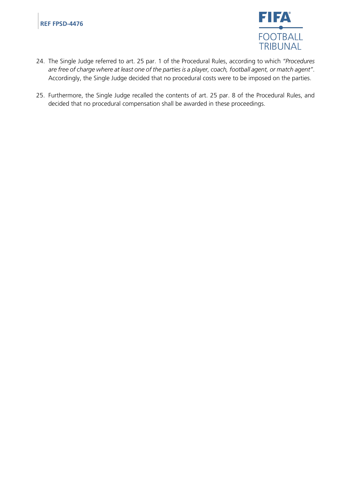

- 24. The Single Judge referred to art. 25 par. 1 of the Procedural Rules, according to which *"Procedures are free of charge where at least one of the parties is a player, coach, football agent, or match agent"*. Accordingly, the Single Judge decided that no procedural costs were to be imposed on the parties.
- 25. Furthermore, the Single Judge recalled the contents of art. 25 par. 8 of the Procedural Rules, and decided that no procedural compensation shall be awarded in these proceedings.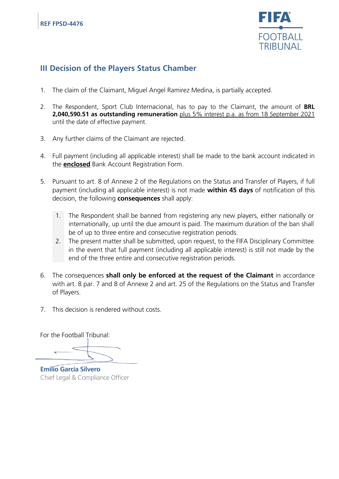

# **III Decision of the Players Status Chamber**

- 1. The claim of the Claimant, Miguel Angel Ramirez Medina, is partially accepted.
- 2. The Respondent, Sport Club Internacional, has to pay to the Claimant, the amount of **BRL 2,040,590.51 as outstanding remuneration** plus 5% interest p.a. as from 18 September 2021 until the date of effective payment.
- 3. Any further claims of the Claimant are rejected.
- 4. Full payment (including all applicable interest) shall be made to the bank account indicated in the **enclosed** Bank Account Registration Form.
- 5. Pursuant to art. 8 of Annexe 2 of the Regulations on the Status and Transfer of Players, if full payment (including all applicable interest) is not made **within 45 days** of notification of this decision, the following **consequences** shall apply:
	- 1. The Respondent shall be banned from registering any new players, either nationally or internationally, up until the due amount is paid. The maximum duration of the ban shall be of up to three entire and consecutive registration periods.
	- 2. The present matter shall be submitted, upon request, to the FIFA Disciplinary Committee in the event that full payment (including all applicable interest) is still not made by the end of the three entire and consecutive registration periods.
- 6. The consequences **shall only be enforced at the request of the Claimant** in accordance with art. 8 par. 7 and 8 of Annexe 2 and art. 25 of the Regulations on the Status and Transfer of Players.
- 7. This decision is rendered without costs.

For the Football Tribunal:

**Emilio García Silvero** Chief Legal & Compliance Officer